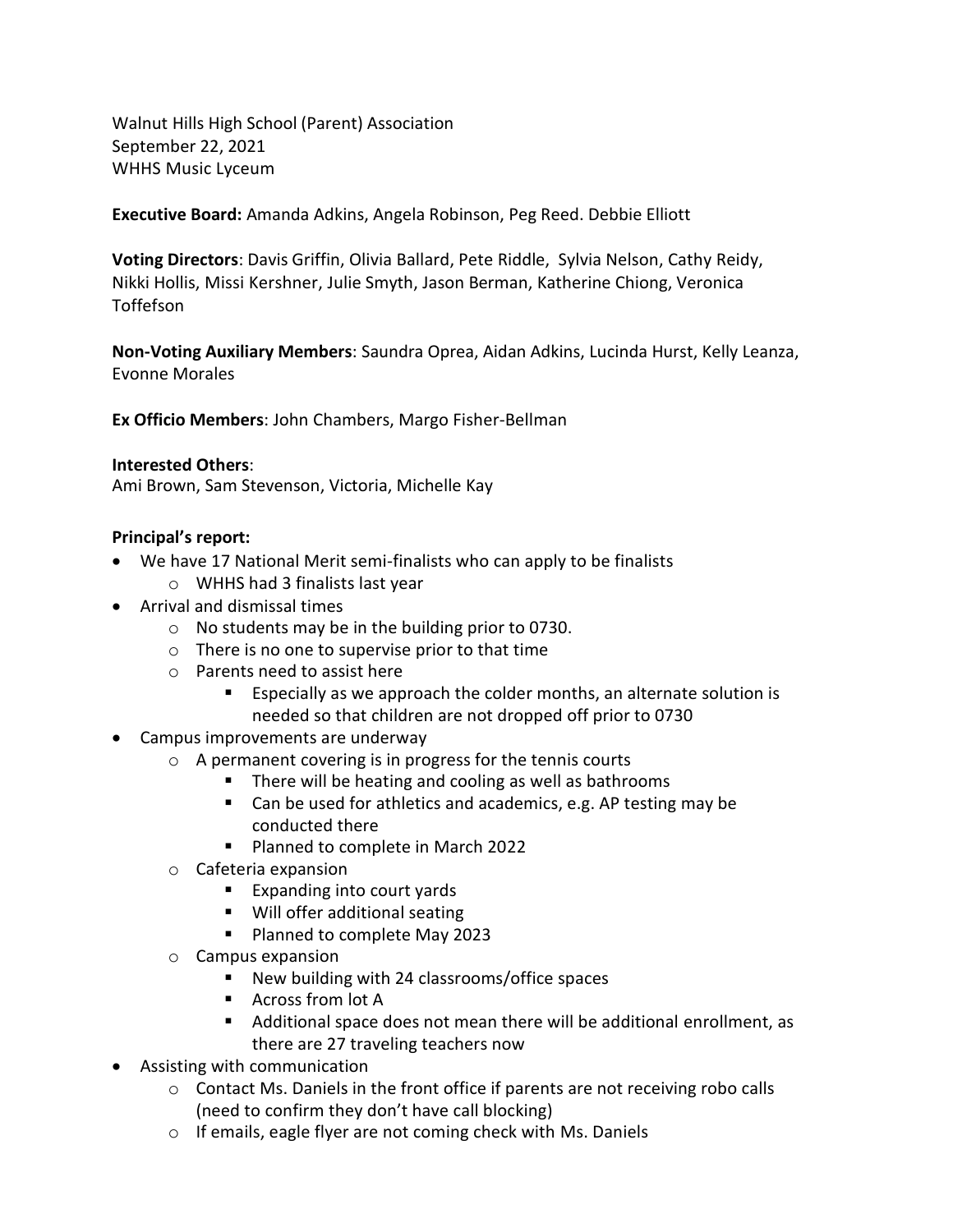Walnut Hills High School (Parent) Association September 22, 2021 WHHS Music Lyceum

**Executive Board:** Amanda Adkins, Angela Robinson, Peg Reed. Debbie Elliott

**Voting Directors**: Davis Griffin, Olivia Ballard, Pete Riddle, Sylvia Nelson, Cathy Reidy, Nikki Hollis, Missi Kershner, Julie Smyth, Jason Berman, Katherine Chiong, Veronica Toffefson

**Non-Voting Auxiliary Members**: Saundra Oprea, Aidan Adkins, Lucinda Hurst, Kelly Leanza, Evonne Morales

**Ex Officio Members**: John Chambers, Margo Fisher-Bellman

#### **Interested Others**:

Ami Brown, Sam Stevenson, Victoria, Michelle Kay

#### **Principal's report:**

- We have 17 National Merit semi-finalists who can apply to be finalists
	- o WHHS had 3 finalists last year
- Arrival and dismissal times
	- o No students may be in the building prior to 0730.
	- o There is no one to supervise prior to that time
	- o Parents need to assist here
		- Especially as we approach the colder months, an alternate solution is needed so that children are not dropped off prior to 0730
- Campus improvements are underway
	- o A permanent covering is in progress for the tennis courts
		- There will be heating and cooling as well as bathrooms
		- Can be used for athletics and academics, e.g. AP testing may be conducted there
		- Planned to complete in March 2022
	- o Cafeteria expansion
		- Expanding into court yards
		- Will offer additional seating
		- Planned to complete May 2023
	- o Campus expansion
		- New building with 24 classrooms/office spaces
		- Across from lot A
		- Additional space does not mean there will be additional enrollment, as there are 27 traveling teachers now
- Assisting with communication
	- $\circ$  Contact Ms. Daniels in the front office if parents are not receiving robo calls (need to confirm they don't have call blocking)
	- o If emails, eagle flyer are not coming check with Ms. Daniels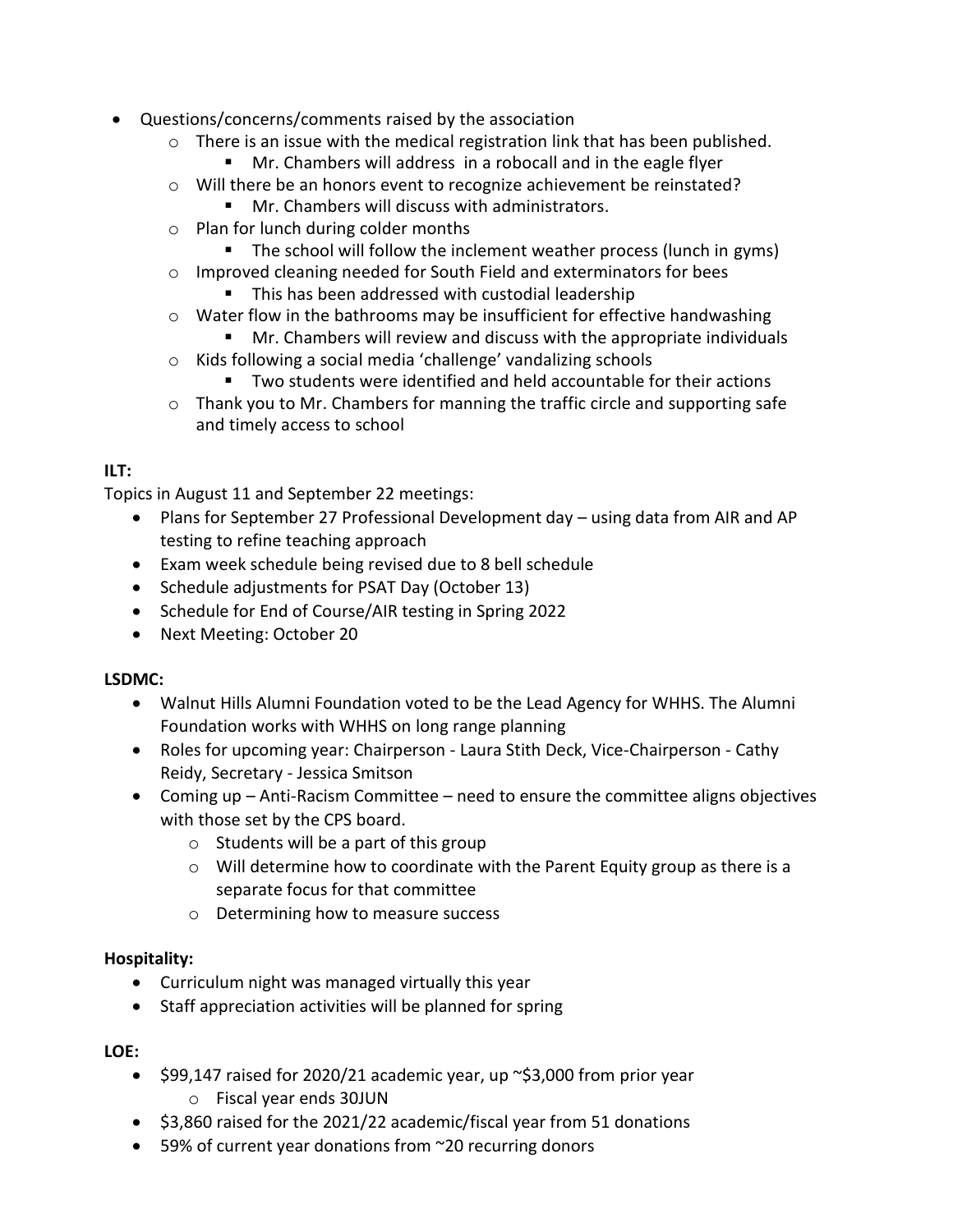- Questions/concerns/comments raised by the association
	- $\circ$  There is an issue with the medical registration link that has been published.
		- Mr. Chambers will address in a robocall and in the eagle flyer
	- o Will there be an honors event to recognize achievement be reinstated?
		- Mr. Chambers will discuss with administrators.
	- o Plan for lunch during colder months
		- The school will follow the inclement weather process (lunch in gyms)
	- o Improved cleaning needed for South Field and exterminators for bees
		- This has been addressed with custodial leadership
	- o Water flow in the bathrooms may be insufficient for effective handwashing
		- Mr. Chambers will review and discuss with the appropriate individuals
	- o Kids following a social media 'challenge' vandalizing schools
		- Two students were identified and held accountable for their actions
	- $\circ$  Thank you to Mr. Chambers for manning the traffic circle and supporting safe and timely access to school

## **ILT:**

Topics in August 11 and September 22 meetings:

- Plans for September 27 Professional Development day using data from AIR and AP testing to refine teaching approach
- Exam week schedule being revised due to 8 bell schedule
- Schedule adjustments for PSAT Day (October 13)
- Schedule for End of Course/AIR testing in Spring 2022
- Next Meeting: October 20

### **LSDMC:**

- Walnut Hills Alumni Foundation voted to be the Lead Agency for WHHS. The Alumni Foundation works with WHHS on long range planning
- Roles for upcoming year: Chairperson Laura Stith Deck, Vice-Chairperson Cathy Reidy, Secretary - Jessica Smitson
- Coming up Anti-Racism Committee need to ensure the committee aligns objectives with those set by the CPS board.
	- $\circ$  Students will be a part of this group
	- $\circ$  Will determine how to coordinate with the Parent Equity group as there is a separate focus for that committee
	- o Determining how to measure success

### **Hospitality:**

- Curriculum night was managed virtually this year
- Staff appreciation activities will be planned for spring

### **LOE:**

- $\leq$  \$99,147 raised for 2020/21 academic year, up  $\approx$ \$3,000 from prior year o Fiscal year ends 30JUN
- \$3,860 raised for the 2021/22 academic/fiscal year from 51 donations
- 59% of current year donations from ~20 recurring donors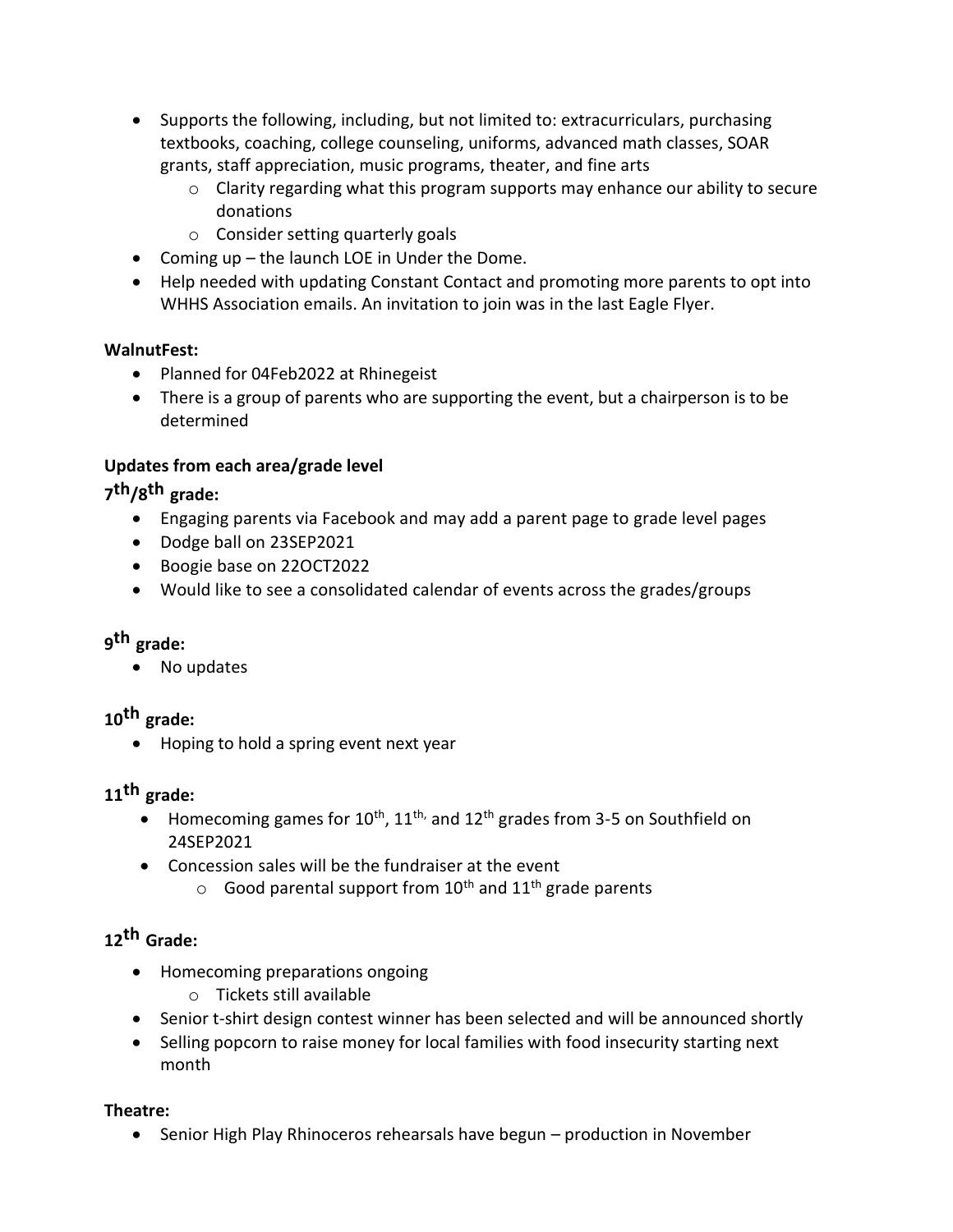- Supports the following, including, but not limited to: extracurriculars, purchasing textbooks, coaching, college counseling, uniforms, advanced math classes, SOAR grants, staff appreciation, music programs, theater, and fine arts
	- o Clarity regarding what this program supports may enhance our ability to secure donations
	- $\circ$  Consider setting quarterly goals
- Coming up the launch LOE in Under the Dome.
- Help needed with updating Constant Contact and promoting more parents to opt into WHHS Association emails. An invitation to join was in the last Eagle Flyer.

### **WalnutFest:**

- Planned for 04Feb2022 at Rhinegeist
- There is a group of parents who are supporting the event, but a chairperson is to be determined

### **Updates from each area/grade level**

# **7 th/8 th grade:**

- Engaging parents via Facebook and may add a parent page to grade level pages
- Dodge ball on 23SEP2021
- Boogie base on 22OCT2022
- Would like to see a consolidated calendar of events across the grades/groups

# **9 th grade:**

No updates

# **10th grade:**

• Hoping to hold a spring event next year

## **11th grade:**

- Homecoming games for  $10^{th}$ ,  $11^{th}$ , and  $12^{th}$  grades from 3-5 on Southfield on 24SEP2021
- Concession sales will be the fundraiser at the event
	- $\circ$  Good parental support from 10<sup>th</sup> and 11<sup>th</sup> grade parents

# **12th Grade:**

- Homecoming preparations ongoing
	- o Tickets still available
- Senior t-shirt design contest winner has been selected and will be announced shortly
- Selling popcorn to raise money for local families with food insecurity starting next month

### **Theatre:**

• Senior High Play Rhinoceros rehearsals have begun – production in November